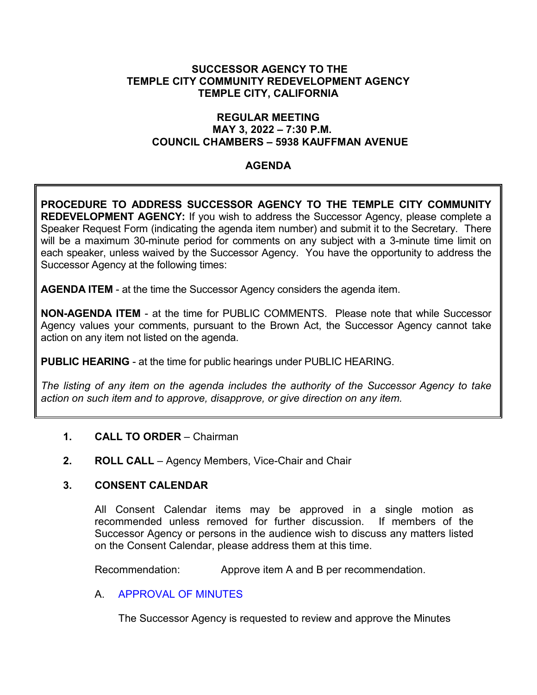### **SUCCESSOR AGENCY TO THE TEMPLE CITY COMMUNITY REDEVELOPMENT AGENCY TEMPLE CITY, CALIFORNIA**

### **REGULAR MEETING MAY 3, 2022 – 7:30 P.M. COUNCIL CHAMBERS – 5938 KAUFFMAN AVENUE**

### **AGENDA**

**PROCEDURE TO ADDRESS SUCCESSOR AGENCY TO THE TEMPLE CITY COMMUNITY REDEVELOPMENT AGENCY:** If you wish to address the Successor Agency, please complete a Speaker Request Form (indicating the agenda item number) and submit it to the Secretary. There will be a maximum 30-minute period for comments on any subject with a 3-minute time limit on each speaker, unless waived by the Successor Agency. You have the opportunity to address the Successor Agency at the following times:

**AGENDA ITEM** - at the time the Successor Agency considers the agenda item.

**NON-AGENDA ITEM** - at the time for PUBLIC COMMENTS. Please note that while Successor Agency values your comments, pursuant to the Brown Act, the Successor Agency cannot take action on any item not listed on the agenda.

**PUBLIC HEARING** - at the time for public hearings under PUBLIC HEARING.

*The listing of any item on the agenda includes the authority of the Successor Agency to take action on such item and to approve, disapprove, or give direction on any item.*

### **1. CALL TO ORDER** – Chairman

**2. ROLL CALL** – Agency Members, Vice-Chair and Chair

### **3. CONSENT CALENDAR**

All Consent Calendar items may be approved in a single motion as recommended unless removed for further discussion. If members of the Successor Agency or persons in the audience wish to discuss any matters listed on the Consent Calendar, please address them at this time.

Recommendation: Approve item A and B per recommendation.

### A. [APPROVAL OF MINUTES](https://www.ci.temple-city.ca.us/DocumentCenter/View/17773/3A_SA-MIN--2022-03-01)

The Successor Agency is requested to review and approve the Minutes